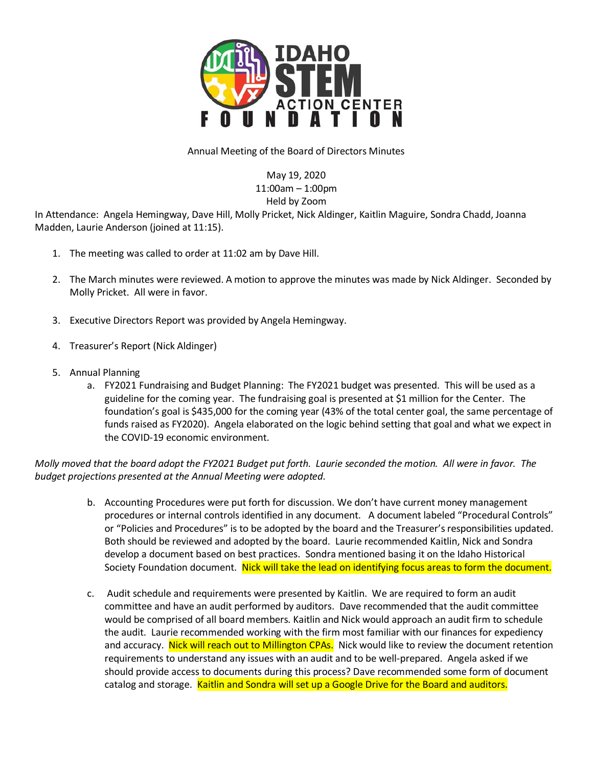

## Annual Meeting of the Board of Directors Minutes

May 19, 2020 11:00am – 1:00pm Held by Zoom

In Attendance: Angela Hemingway, Dave Hill, Molly Pricket, Nick Aldinger, Kaitlin Maguire, Sondra Chadd, Joanna Madden, Laurie Anderson (joined at 11:15).

- 1. The meeting was called to order at 11:02 am by Dave Hill.
- 2. The March minutes were reviewed. A motion to approve the minutes was made by Nick Aldinger. Seconded by Molly Pricket. All were in favor.
- 3. Executive Directors Report was provided by Angela Hemingway.
- 4. Treasurer's Report (Nick Aldinger)
- 5. Annual Planning
	- a. FY2021 Fundraising and Budget Planning: The FY2021 budget was presented. This will be used as a guideline for the coming year. The fundraising goal is presented at \$1 million for the Center. The foundation's goal is \$435,000 for the coming year (43% of the total center goal, the same percentage of funds raised as FY2020). Angela elaborated on the logic behind setting that goal and what we expect in the COVID-19 economic environment.

*Molly moved that the board adopt the FY2021 Budget put forth. Laurie seconded the motion. All were in favor. The budget projections presented at the Annual Meeting were adopted.* 

- b. Accounting Procedures were put forth for discussion. We don't have current money management procedures or internal controls identified in any document. A document labeled "Procedural Controls" or "Policies and Procedures" is to be adopted by the board and the Treasurer's responsibilities updated. Both should be reviewed and adopted by the board. Laurie recommended Kaitlin, Nick and Sondra develop a document based on best practices. Sondra mentioned basing it on the Idaho Historical Society Foundation document. Nick will take the lead on identifying focus areas to form the document.
- c. Audit schedule and requirements were presented by Kaitlin. We are required to form an audit committee and have an audit performed by auditors. Dave recommended that the audit committee would be comprised of all board members. Kaitlin and Nick would approach an audit firm to schedule the audit. Laurie recommended working with the firm most familiar with our finances for expediency and accuracy. Nick will reach out to Millington CPAs. Nick would like to review the document retention requirements to understand any issues with an audit and to be well-prepared. Angela asked if we should provide access to documents during this process? Dave recommended some form of document catalog and storage. Kaitlin and Sondra will set up a Google Drive for the Board and auditors.